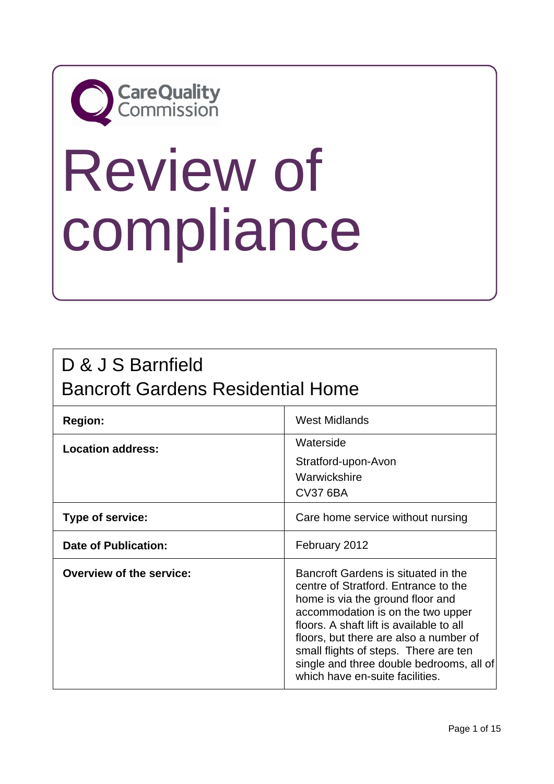## **CareQuality**<br>Commission

# Review of compliance

## D & J S Barnfield Bancroft Gardens Residential Home

| <b>Region:</b>                  | West Midlands                                                                                                                                                                                                                                                                                                                                                      |
|---------------------------------|--------------------------------------------------------------------------------------------------------------------------------------------------------------------------------------------------------------------------------------------------------------------------------------------------------------------------------------------------------------------|
| <b>Location address:</b>        | Waterside<br>Stratford-upon-Avon<br>Warwickshire<br><b>CV37 6BA</b>                                                                                                                                                                                                                                                                                                |
| Type of service:                | Care home service without nursing                                                                                                                                                                                                                                                                                                                                  |
| <b>Date of Publication:</b>     | February 2012                                                                                                                                                                                                                                                                                                                                                      |
| <b>Overview of the service:</b> | Bancroft Gardens is situated in the<br>centre of Stratford. Entrance to the<br>home is via the ground floor and<br>accommodation is on the two upper<br>floors. A shaft lift is available to all<br>floors, but there are also a number of<br>small flights of steps. There are ten<br>single and three double bedrooms, all of<br>which have en-suite facilities. |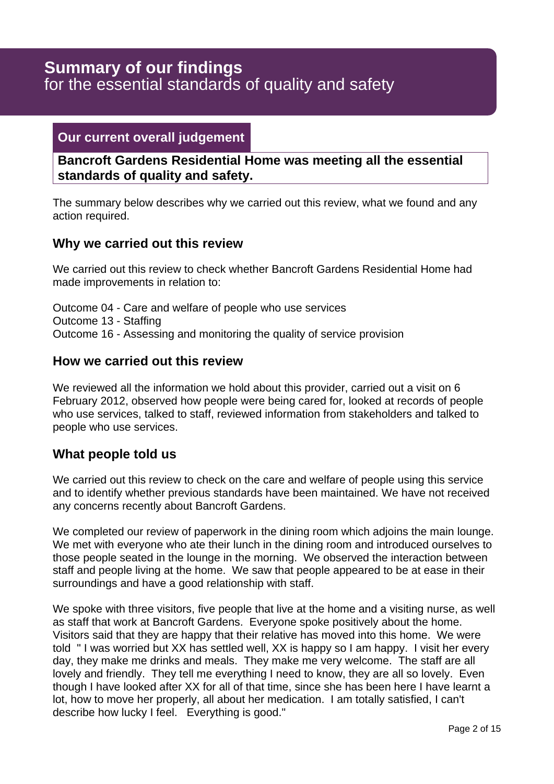## for the essential standards of quality and safety **Summary of our findings**

## **Our current overall judgement**

**Bancroft Gardens Residential Home was meeting all the essential standards of quality and safety.**

The summary below describes why we carried out this review, what we found and any action required.

## **Why we carried out this review**

We carried out this review to check whether Bancroft Gardens Residential Home had made improvements in relation to:

Outcome 04 - Care and welfare of people who use services Outcome 13 - Staffing Outcome 16 - Assessing and monitoring the quality of service provision

## **How we carried out this review**

We reviewed all the information we hold about this provider, carried out a visit on 6 February 2012, observed how people were being cared for, looked at records of people who use services, talked to staff, reviewed information from stakeholders and talked to people who use services.

## **What people told us**

We carried out this review to check on the care and welfare of people using this service and to identify whether previous standards have been maintained. We have not received any concerns recently about Bancroft Gardens.

We completed our review of paperwork in the dining room which adjoins the main lounge. We met with everyone who ate their lunch in the dining room and introduced ourselves to those people seated in the lounge in the morning. We observed the interaction between staff and people living at the home. We saw that people appeared to be at ease in their surroundings and have a good relationship with staff.

We spoke with three visitors, five people that live at the home and a visiting nurse, as well as staff that work at Bancroft Gardens. Everyone spoke positively about the home. Visitors said that they are happy that their relative has moved into this home. We were told " I was worried but XX has settled well, XX is happy so I am happy. I visit her every day, they make me drinks and meals. They make me very welcome. The staff are all lovely and friendly. They tell me everything I need to know, they are all so lovely. Even though I have looked after XX for all of that time, since she has been here I have learnt a lot, how to move her properly, all about her medication. I am totally satisfied, I can't describe how lucky I feel. Everything is good."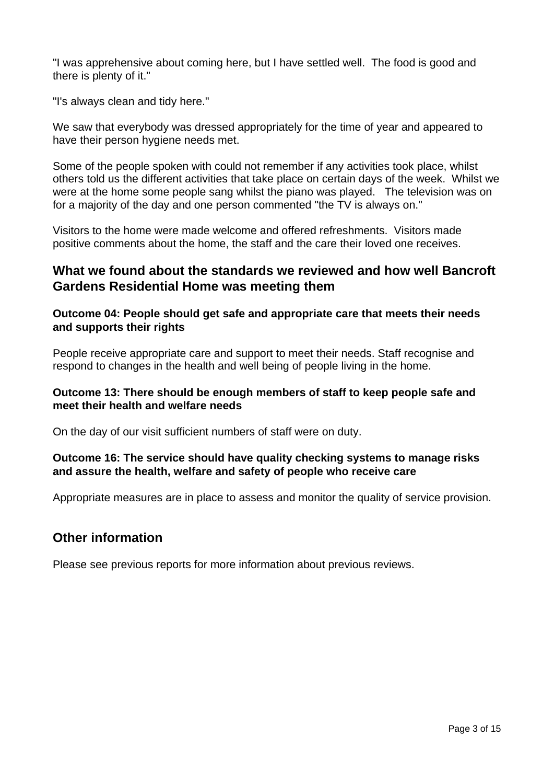"I was apprehensive about coming here, but I have settled well. The food is good and there is plenty of it."

"I's always clean and tidy here."

We saw that everybody was dressed appropriately for the time of year and appeared to have their person hygiene needs met.

Some of the people spoken with could not remember if any activities took place, whilst others told us the different activities that take place on certain days of the week. Whilst we were at the home some people sang whilst the piano was played. The television was on for a majority of the day and one person commented "the TV is always on."

Visitors to the home were made welcome and offered refreshments. Visitors made positive comments about the home, the staff and the care their loved one receives.

## **What we found about the standards we reviewed and how well Bancroft Gardens Residential Home was meeting them**

#### **Outcome 04: People should get safe and appropriate care that meets their needs and supports their rights**

People receive appropriate care and support to meet their needs. Staff recognise and respond to changes in the health and well being of people living in the home.

## **Outcome 13: There should be enough members of staff to keep people safe and meet their health and welfare needs**

On the day of our visit sufficient numbers of staff were on duty.

## **Outcome 16: The service should have quality checking systems to manage risks and assure the health, welfare and safety of people who receive care**

Appropriate measures are in place to assess and monitor the quality of service provision.

## **Other information**

Please see previous reports for more information about previous reviews.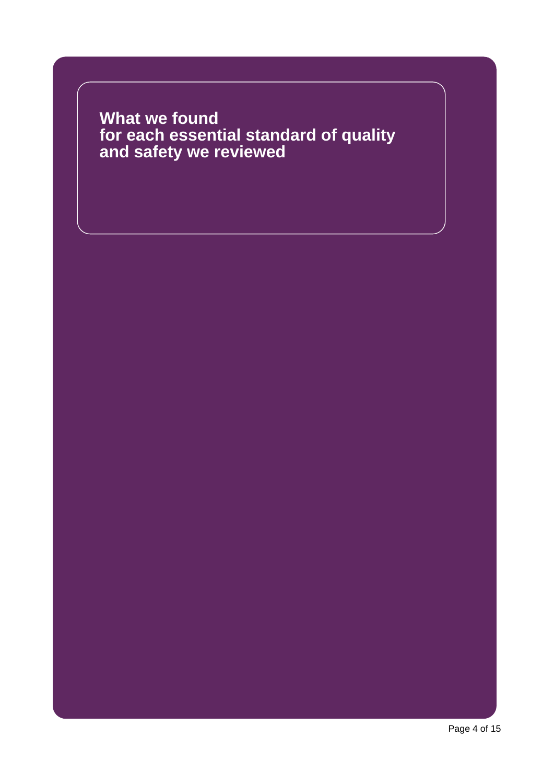**What we found for each essential standard of quality and safety we reviewed**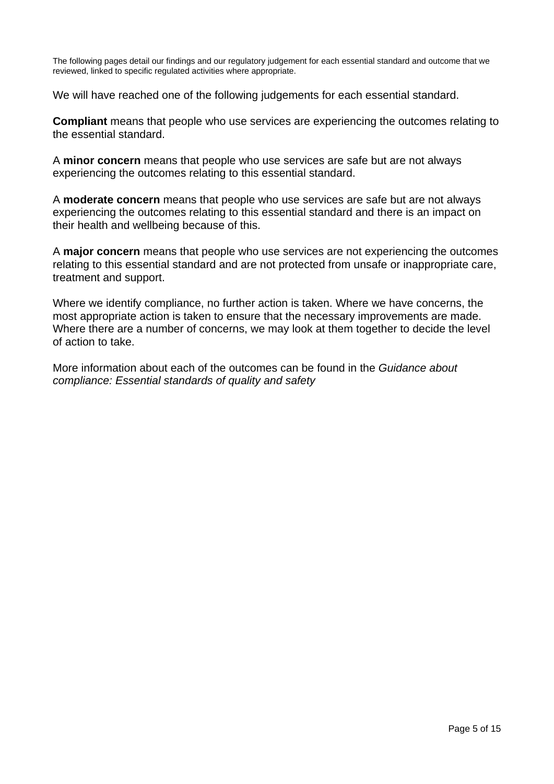The following pages detail our findings and our regulatory judgement for each essential standard and outcome that we reviewed, linked to specific regulated activities where appropriate.

We will have reached one of the following judgements for each essential standard.

**Compliant** means that people who use services are experiencing the outcomes relating to the essential standard.

A **minor concern** means that people who use services are safe but are not always experiencing the outcomes relating to this essential standard.

A **moderate concern** means that people who use services are safe but are not always experiencing the outcomes relating to this essential standard and there is an impact on their health and wellbeing because of this.

A **major concern** means that people who use services are not experiencing the outcomes relating to this essential standard and are not protected from unsafe or inappropriate care, treatment and support.

Where we identify compliance, no further action is taken. Where we have concerns, the most appropriate action is taken to ensure that the necessary improvements are made. Where there are a number of concerns, we may look at them together to decide the level of action to take.

More information about each of the outcomes can be found in the Guidance about compliance: Essential standards of quality and safety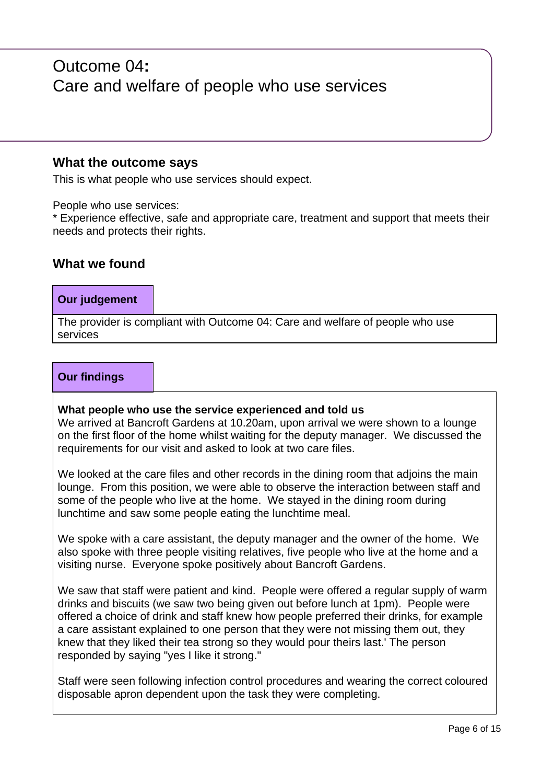## Outcome 04**:** Care and welfare of people who use services

## **What the outcome says**

This is what people who use services should expect.

People who use services:

\* Experience effective, safe and appropriate care, treatment and support that meets their needs and protects their rights.

## **What we found**

## **Our judgement**

The provider is compliant with Outcome 04: Care and welfare of people who use services

#### **Our findings**

#### **What people who use the service experienced and told us**

We arrived at Bancroft Gardens at 10.20am, upon arrival we were shown to a lounge on the first floor of the home whilst waiting for the deputy manager. We discussed the requirements for our visit and asked to look at two care files.

We looked at the care files and other records in the dining room that adjoins the main lounge. From this position, we were able to observe the interaction between staff and some of the people who live at the home. We stayed in the dining room during lunchtime and saw some people eating the lunchtime meal.

We spoke with a care assistant, the deputy manager and the owner of the home. We also spoke with three people visiting relatives, five people who live at the home and a visiting nurse. Everyone spoke positively about Bancroft Gardens.

We saw that staff were patient and kind. People were offered a regular supply of warm drinks and biscuits (we saw two being given out before lunch at 1pm). People were offered a choice of drink and staff knew how people preferred their drinks, for example a care assistant explained to one person that they were not missing them out, they knew that they liked their tea strong so they would pour theirs last.' The person responded by saying "yes I like it strong."

Staff were seen following infection control procedures and wearing the correct coloured disposable apron dependent upon the task they were completing.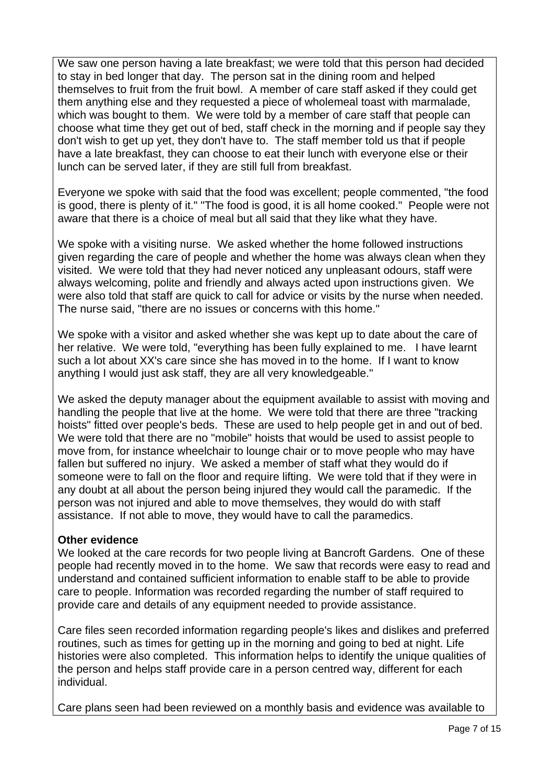We saw one person having a late breakfast; we were told that this person had decided to stay in bed longer that day. The person sat in the dining room and helped themselves to fruit from the fruit bowl. A member of care staff asked if they could get them anything else and they requested a piece of wholemeal toast with marmalade, which was bought to them. We were told by a member of care staff that people can choose what time they get out of bed, staff check in the morning and if people say they don't wish to get up yet, they don't have to. The staff member told us that if people have a late breakfast, they can choose to eat their lunch with everyone else or their lunch can be served later, if they are still full from breakfast.

Everyone we spoke with said that the food was excellent; people commented, "the food is good, there is plenty of it." "The food is good, it is all home cooked." People were not aware that there is a choice of meal but all said that they like what they have.

We spoke with a visiting nurse. We asked whether the home followed instructions given regarding the care of people and whether the home was always clean when they visited. We were told that they had never noticed any unpleasant odours, staff were always welcoming, polite and friendly and always acted upon instructions given. We were also told that staff are quick to call for advice or visits by the nurse when needed. The nurse said, "there are no issues or concerns with this home."

We spoke with a visitor and asked whether she was kept up to date about the care of her relative. We were told, "everything has been fully explained to me. I have learnt such a lot about XX's care since she has moved in to the home. If I want to know anything I would just ask staff, they are all very knowledgeable."

We asked the deputy manager about the equipment available to assist with moving and handling the people that live at the home. We were told that there are three "tracking hoists" fitted over people's beds. These are used to help people get in and out of bed. We were told that there are no "mobile" hoists that would be used to assist people to move from, for instance wheelchair to lounge chair or to move people who may have fallen but suffered no injury. We asked a member of staff what they would do if someone were to fall on the floor and require lifting. We were told that if they were in any doubt at all about the person being injured they would call the paramedic. If the person was not injured and able to move themselves, they would do with staff assistance. If not able to move, they would have to call the paramedics.

## **Other evidence**

We looked at the care records for two people living at Bancroft Gardens. One of these people had recently moved in to the home. We saw that records were easy to read and understand and contained sufficient information to enable staff to be able to provide care to people. Information was recorded regarding the number of staff required to provide care and details of any equipment needed to provide assistance.

Care files seen recorded information regarding people's likes and dislikes and preferred routines, such as times for getting up in the morning and going to bed at night. Life histories were also completed. This information helps to identify the unique qualities of the person and helps staff provide care in a person centred way, different for each individual.

Care plans seen had been reviewed on a monthly basis and evidence was available to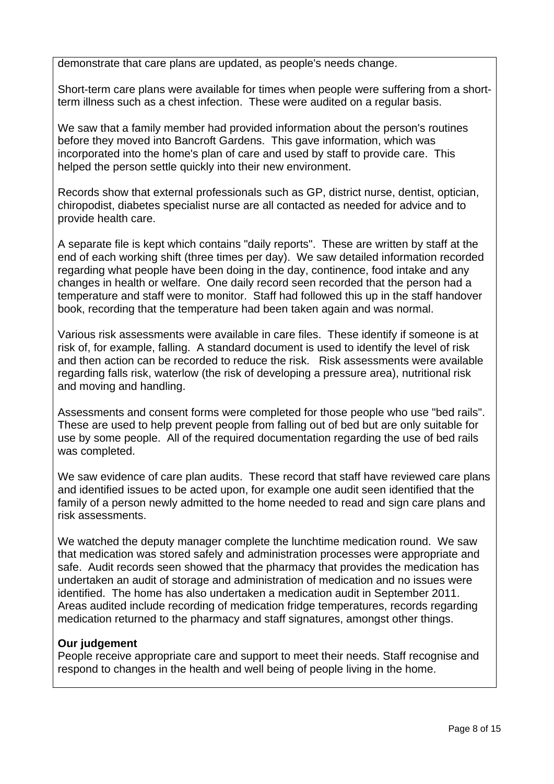demonstrate that care plans are updated, as people's needs change.

Short-term care plans were available for times when people were suffering from a shortterm illness such as a chest infection. These were audited on a regular basis.

We saw that a family member had provided information about the person's routines before they moved into Bancroft Gardens. This gave information, which was incorporated into the home's plan of care and used by staff to provide care. This helped the person settle quickly into their new environment.

Records show that external professionals such as GP, district nurse, dentist, optician, chiropodist, diabetes specialist nurse are all contacted as needed for advice and to provide health care.

A separate file is kept which contains "daily reports". These are written by staff at the end of each working shift (three times per day). We saw detailed information recorded regarding what people have been doing in the day, continence, food intake and any changes in health or welfare. One daily record seen recorded that the person had a temperature and staff were to monitor. Staff had followed this up in the staff handover book, recording that the temperature had been taken again and was normal.

Various risk assessments were available in care files. These identify if someone is at risk of, for example, falling. A standard document is used to identify the level of risk and then action can be recorded to reduce the risk. Risk assessments were available regarding falls risk, waterlow (the risk of developing a pressure area), nutritional risk and moving and handling.

Assessments and consent forms were completed for those people who use "bed rails". These are used to help prevent people from falling out of bed but are only suitable for use by some people. All of the required documentation regarding the use of bed rails was completed.

We saw evidence of care plan audits. These record that staff have reviewed care plans and identified issues to be acted upon, for example one audit seen identified that the family of a person newly admitted to the home needed to read and sign care plans and risk assessments.

We watched the deputy manager complete the lunchtime medication round. We saw that medication was stored safely and administration processes were appropriate and safe. Audit records seen showed that the pharmacy that provides the medication has undertaken an audit of storage and administration of medication and no issues were identified. The home has also undertaken a medication audit in September 2011. Areas audited include recording of medication fridge temperatures, records regarding medication returned to the pharmacy and staff signatures, amongst other things.

## **Our judgement**

People receive appropriate care and support to meet their needs. Staff recognise and respond to changes in the health and well being of people living in the home.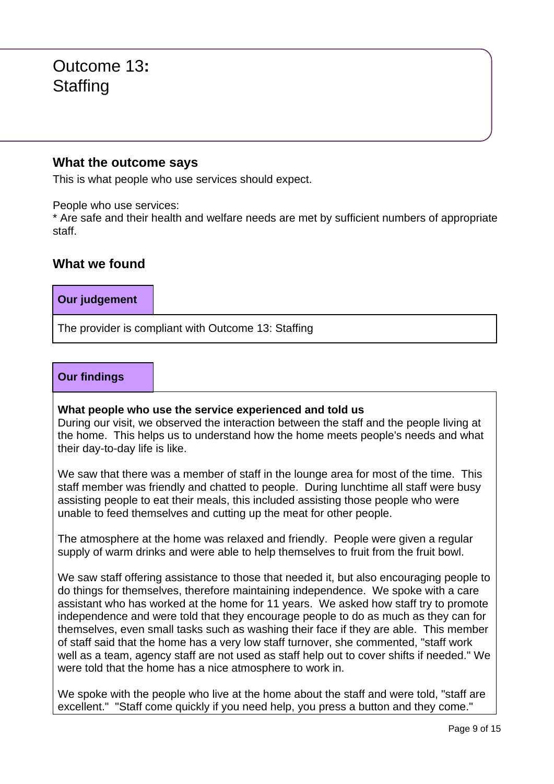## Outcome 13**: Staffing**

## **What the outcome says**

This is what people who use services should expect.

People who use services:

\* Are safe and their health and welfare needs are met by sufficient numbers of appropriate staff.

## **What we found**

## **Our judgement**

The provider is compliant with Outcome 13: Staffing

## **Our findings**

#### **What people who use the service experienced and told us**

During our visit, we observed the interaction between the staff and the people living at the home. This helps us to understand how the home meets people's needs and what their day-to-day life is like.

We saw that there was a member of staff in the lounge area for most of the time. This staff member was friendly and chatted to people. During lunchtime all staff were busy assisting people to eat their meals, this included assisting those people who were unable to feed themselves and cutting up the meat for other people.

The atmosphere at the home was relaxed and friendly. People were given a regular supply of warm drinks and were able to help themselves to fruit from the fruit bowl.

We saw staff offering assistance to those that needed it, but also encouraging people to do things for themselves, therefore maintaining independence. We spoke with a care assistant who has worked at the home for 11 years. We asked how staff try to promote independence and were told that they encourage people to do as much as they can for themselves, even small tasks such as washing their face if they are able. This member of staff said that the home has a very low staff turnover, she commented, "staff work well as a team, agency staff are not used as staff help out to cover shifts if needed." We were told that the home has a nice atmosphere to work in.

We spoke with the people who live at the home about the staff and were told, "staff are excellent." "Staff come quickly if you need help, you press a button and they come."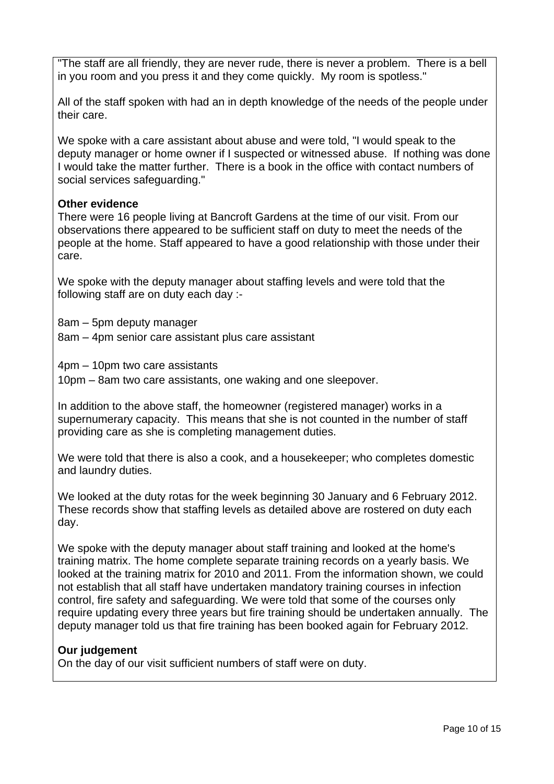"The staff are all friendly, they are never rude, there is never a problem. There is a bell in you room and you press it and they come quickly. My room is spotless."

All of the staff spoken with had an in depth knowledge of the needs of the people under their care.

We spoke with a care assistant about abuse and were told, "I would speak to the deputy manager or home owner if I suspected or witnessed abuse. If nothing was done I would take the matter further. There is a book in the office with contact numbers of social services safeguarding."

## **Other evidence**

There were 16 people living at Bancroft Gardens at the time of our visit. From our observations there appeared to be sufficient staff on duty to meet the needs of the people at the home. Staff appeared to have a good relationship with those under their care.

We spoke with the deputy manager about staffing levels and were told that the following staff are on duty each day :-

8am – 5pm deputy manager

8am – 4pm senior care assistant plus care assistant

4pm – 10pm two care assistants

10pm – 8am two care assistants, one waking and one sleepover.

In addition to the above staff, the homeowner (registered manager) works in a supernumerary capacity. This means that she is not counted in the number of staff providing care as she is completing management duties.

We were told that there is also a cook, and a housekeeper; who completes domestic and laundry duties.

We looked at the duty rotas for the week beginning 30 January and 6 February 2012. These records show that staffing levels as detailed above are rostered on duty each day.

We spoke with the deputy manager about staff training and looked at the home's training matrix. The home complete separate training records on a yearly basis. We looked at the training matrix for 2010 and 2011. From the information shown, we could not establish that all staff have undertaken mandatory training courses in infection control, fire safety and safeguarding. We were told that some of the courses only require updating every three years but fire training should be undertaken annually. The deputy manager told us that fire training has been booked again for February 2012.

## **Our judgement**

On the day of our visit sufficient numbers of staff were on duty.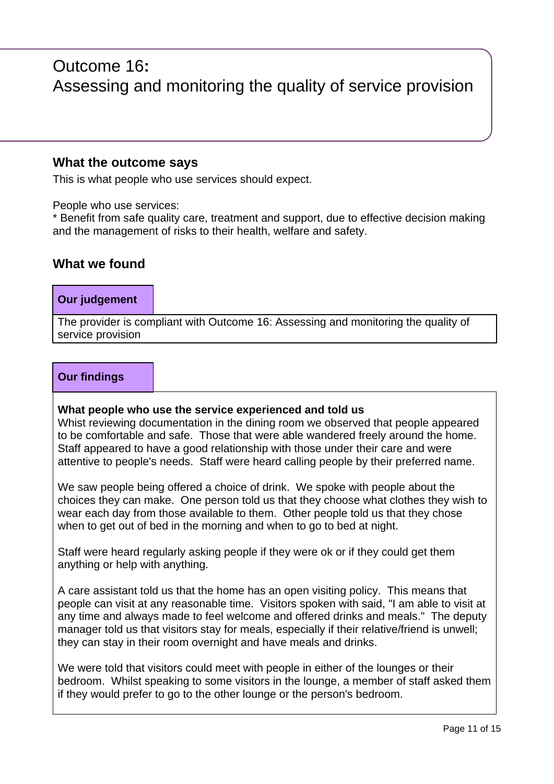## Outcome 16**:** Assessing and monitoring the quality of service provision

## **What the outcome says**

This is what people who use services should expect.

People who use services:

\* Benefit from safe quality care, treatment and support, due to effective decision making and the management of risks to their health, welfare and safety.

## **What we found**

## **Our judgement**

The provider is compliant with Outcome 16: Assessing and monitoring the quality of service provision

#### **Our findings**

#### **What people who use the service experienced and told us**

Whist reviewing documentation in the dining room we observed that people appeared to be comfortable and safe. Those that were able wandered freely around the home. Staff appeared to have a good relationship with those under their care and were attentive to people's needs. Staff were heard calling people by their preferred name.

We saw people being offered a choice of drink. We spoke with people about the choices they can make. One person told us that they choose what clothes they wish to wear each day from those available to them. Other people told us that they chose when to get out of bed in the morning and when to go to bed at night.

Staff were heard regularly asking people if they were ok or if they could get them anything or help with anything.

A care assistant told us that the home has an open visiting policy. This means that people can visit at any reasonable time. Visitors spoken with said, "I am able to visit at any time and always made to feel welcome and offered drinks and meals." The deputy manager told us that visitors stay for meals, especially if their relative/friend is unwell; they can stay in their room overnight and have meals and drinks.

We were told that visitors could meet with people in either of the lounges or their bedroom. Whilst speaking to some visitors in the lounge, a member of staff asked them if they would prefer to go to the other lounge or the person's bedroom.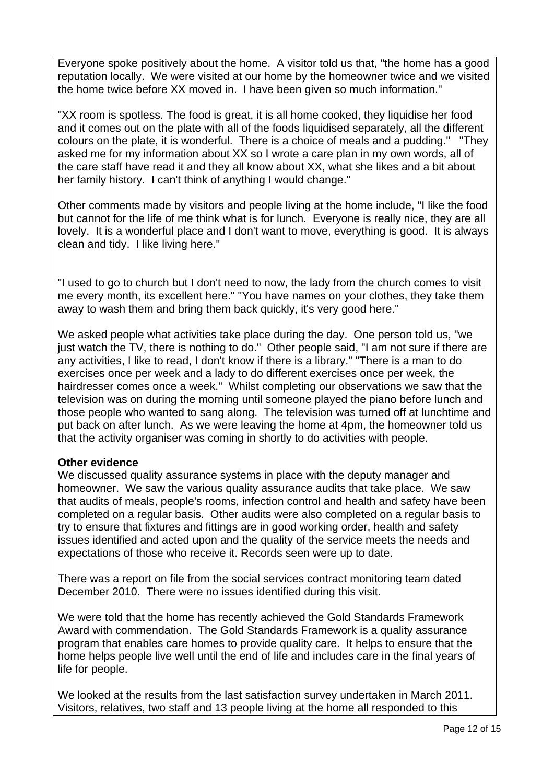Everyone spoke positively about the home. A visitor told us that, "the home has a good reputation locally. We were visited at our home by the homeowner twice and we visited the home twice before XX moved in. I have been given so much information."

"XX room is spotless. The food is great, it is all home cooked, they liquidise her food and it comes out on the plate with all of the foods liquidised separately, all the different colours on the plate, it is wonderful. There is a choice of meals and a pudding." "They asked me for my information about XX so I wrote a care plan in my own words, all of the care staff have read it and they all know about XX, what she likes and a bit about her family history. I can't think of anything I would change."

Other comments made by visitors and people living at the home include, "I like the food but cannot for the life of me think what is for lunch. Everyone is really nice, they are all lovely. It is a wonderful place and I don't want to move, everything is good. It is always clean and tidy. I like living here."

"I used to go to church but I don't need to now, the lady from the church comes to visit me every month, its excellent here." "You have names on your clothes, they take them away to wash them and bring them back quickly, it's very good here."

We asked people what activities take place during the day. One person told us, "we just watch the TV, there is nothing to do." Other people said, "I am not sure if there are any activities, I like to read, I don't know if there is a library." "There is a man to do exercises once per week and a lady to do different exercises once per week, the hairdresser comes once a week." Whilst completing our observations we saw that the television was on during the morning until someone played the piano before lunch and those people who wanted to sang along. The television was turned off at lunchtime and put back on after lunch. As we were leaving the home at 4pm, the homeowner told us that the activity organiser was coming in shortly to do activities with people.

## **Other evidence**

We discussed quality assurance systems in place with the deputy manager and homeowner. We saw the various quality assurance audits that take place. We saw that audits of meals, people's rooms, infection control and health and safety have been completed on a regular basis. Other audits were also completed on a regular basis to try to ensure that fixtures and fittings are in good working order, health and safety issues identified and acted upon and the quality of the service meets the needs and expectations of those who receive it. Records seen were up to date.

There was a report on file from the social services contract monitoring team dated December 2010. There were no issues identified during this visit.

We were told that the home has recently achieved the Gold Standards Framework Award with commendation. The Gold Standards Framework is a quality assurance program that enables care homes to provide quality care. It helps to ensure that the home helps people live well until the end of life and includes care in the final years of life for people.

We looked at the results from the last satisfaction survey undertaken in March 2011. Visitors, relatives, two staff and 13 people living at the home all responded to this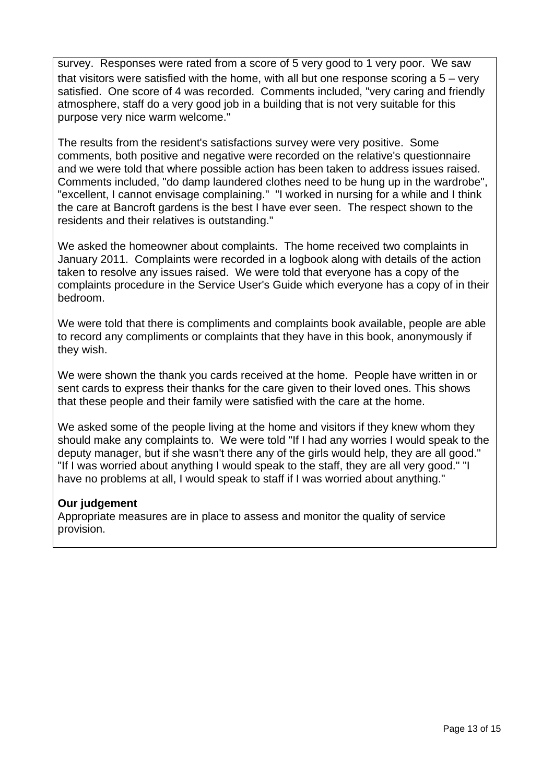survey. Responses were rated from a score of 5 very good to 1 very poor. We saw that visitors were satisfied with the home, with all but one response scoring a 5 – very satisfied. One score of 4 was recorded. Comments included, "very caring and friendly atmosphere, staff do a very good job in a building that is not very suitable for this purpose very nice warm welcome."

The results from the resident's satisfactions survey were very positive. Some comments, both positive and negative were recorded on the relative's questionnaire and we were told that where possible action has been taken to address issues raised. Comments included, "do damp laundered clothes need to be hung up in the wardrobe", "excellent, I cannot envisage complaining." "I worked in nursing for a while and I think the care at Bancroft gardens is the best I have ever seen. The respect shown to the residents and their relatives is outstanding."

We asked the homeowner about complaints. The home received two complaints in January 2011. Complaints were recorded in a logbook along with details of the action taken to resolve any issues raised. We were told that everyone has a copy of the complaints procedure in the Service User's Guide which everyone has a copy of in their bedroom.

We were told that there is compliments and complaints book available, people are able to record any compliments or complaints that they have in this book, anonymously if they wish.

We were shown the thank you cards received at the home. People have written in or sent cards to express their thanks for the care given to their loved ones. This shows that these people and their family were satisfied with the care at the home.

We asked some of the people living at the home and visitors if they knew whom they should make any complaints to. We were told "If I had any worries I would speak to the deputy manager, but if she wasn't there any of the girls would help, they are all good." "If I was worried about anything I would speak to the staff, they are all very good." "I have no problems at all, I would speak to staff if I was worried about anything."

## **Our judgement**

Appropriate measures are in place to assess and monitor the quality of service provision.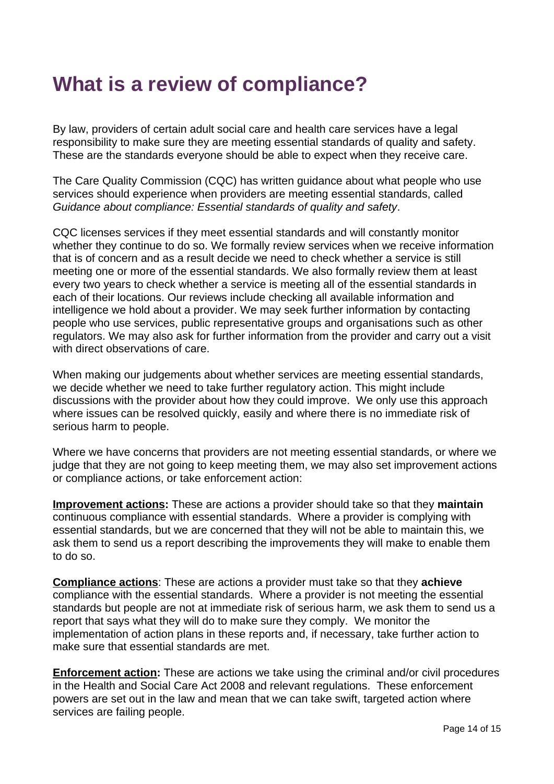## **What is a review of compliance?**

By law, providers of certain adult social care and health care services have a legal responsibility to make sure they are meeting essential standards of quality and safety. These are the standards everyone should be able to expect when they receive care.

The Care Quality Commission (CQC) has written guidance about what people who use services should experience when providers are meeting essential standards, called Guidance about compliance: Essential standards of quality and safety.

CQC licenses services if they meet essential standards and will constantly monitor whether they continue to do so. We formally review services when we receive information that is of concern and as a result decide we need to check whether a service is still meeting one or more of the essential standards. We also formally review them at least every two years to check whether a service is meeting all of the essential standards in each of their locations. Our reviews include checking all available information and intelligence we hold about a provider. We may seek further information by contacting people who use services, public representative groups and organisations such as other regulators. We may also ask for further information from the provider and carry out a visit with direct observations of care

When making our judgements about whether services are meeting essential standards, we decide whether we need to take further regulatory action. This might include discussions with the provider about how they could improve. We only use this approach where issues can be resolved quickly, easily and where there is no immediate risk of serious harm to people.

Where we have concerns that providers are not meeting essential standards, or where we judge that they are not going to keep meeting them, we may also set improvement actions or compliance actions, or take enforcement action:

**Improvement actions:** These are actions a provider should take so that they **maintain** continuous compliance with essential standards. Where a provider is complying with essential standards, but we are concerned that they will not be able to maintain this, we ask them to send us a report describing the improvements they will make to enable them to do so.

**Compliance actions**: These are actions a provider must take so that they **achieve** compliance with the essential standards. Where a provider is not meeting the essential standards but people are not at immediate risk of serious harm, we ask them to send us a report that says what they will do to make sure they comply. We monitor the implementation of action plans in these reports and, if necessary, take further action to make sure that essential standards are met.

**Enforcement action:** These are actions we take using the criminal and/or civil procedures in the Health and Social Care Act 2008 and relevant regulations. These enforcement powers are set out in the law and mean that we can take swift, targeted action where services are failing people.